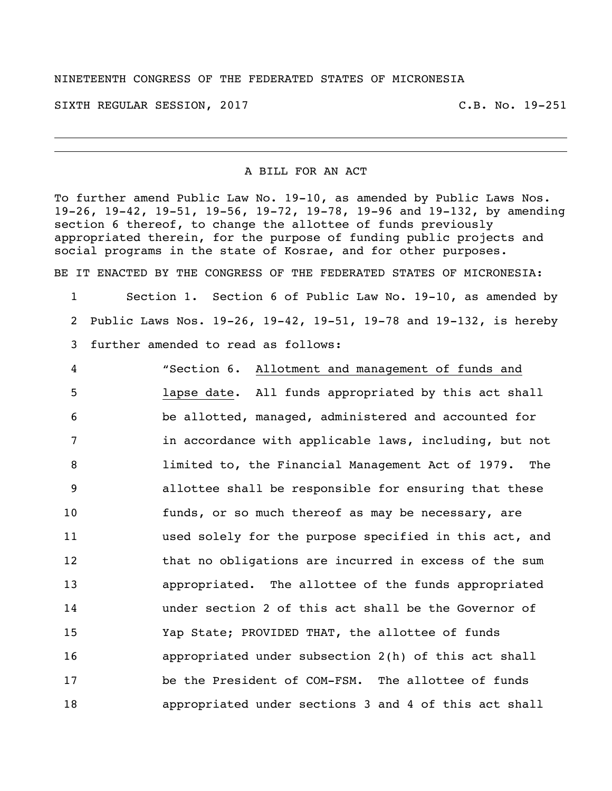## NINETEENTH CONGRESS OF THE FEDERATED STATES OF MICRONESIA

SIXTH REGULAR SESSION, 2017 THE REGULAR SESSION, 2017

## A BILL FOR AN ACT

To further amend Public Law No. 19-10, as amended by Public Laws Nos. 19-26, 19-42, 19-51, 19-56, 19-72, 19-78, 19-96 and 19-132, by amending section 6 thereof, to change the allottee of funds previously appropriated therein, for the purpose of funding public projects and social programs in the state of Kosrae, and for other purposes.

BE IT ENACTED BY THE CONGRESS OF THE FEDERATED STATES OF MICRONESIA:

1 Section 1. Section 6 of Public Law No. 19-10, as amended by 2 Public Laws Nos. 19-26, 19-42, 19-51, 19-78 and 19-132, is hereby 3 further amended to read as follows:

 "Section 6. Allotment and management of funds and lapse date. All funds appropriated by this act shall be allotted, managed, administered and accounted for 7 in accordance with applicable laws, including, but not limited to, the Financial Management Act of 1979. The allottee shall be responsible for ensuring that these funds, or so much thereof as may be necessary, are used solely for the purpose specified in this act, and 12 that no obligations are incurred in excess of the sum appropriated. The allottee of the funds appropriated under section 2 of this act shall be the Governor of Yap State; PROVIDED THAT, the allottee of funds appropriated under subsection 2(h) of this act shall be the President of COM-FSM. The allottee of funds appropriated under sections 3 and 4 of this act shall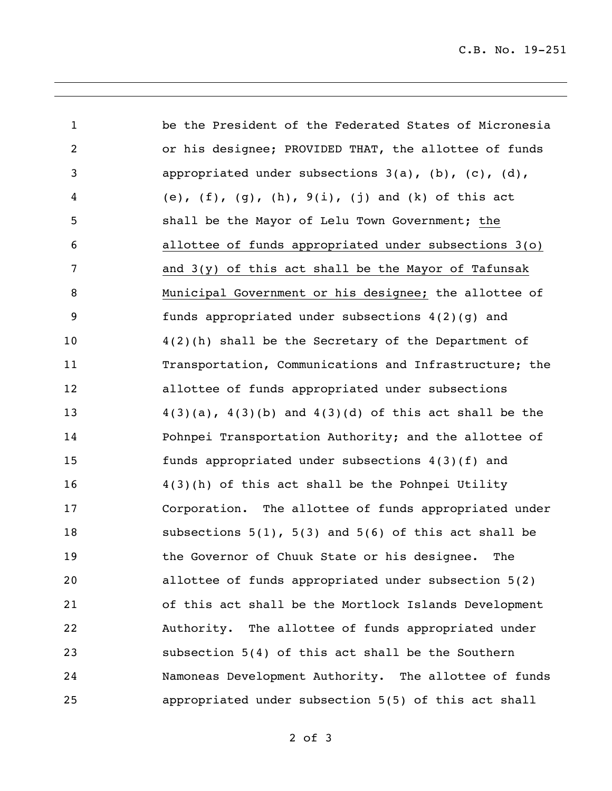C.B. No. 19-251

| $\mathbf{1}$ | be the President of the Federated States of Micronesia            |
|--------------|-------------------------------------------------------------------|
| 2            | or his designee; PROVIDED THAT, the allottee of funds             |
| 3            | appropriated under subsections $3(a)$ , $(b)$ , $(c)$ , $(d)$ ,   |
| 4            | (e), $(f)$ , $(g)$ , $(h)$ , $9(i)$ , $(j)$ and $(k)$ of this act |
| 5            | shall be the Mayor of Lelu Town Government; the                   |
| 6            | allottee of funds appropriated under subsections 3(o)             |
| 7            | and $3(y)$ of this act shall be the Mayor of Tafunsak             |
| 8            | Municipal Government or his designee; the allottee of             |
| 9            | funds appropriated under subsections 4(2)(g) and                  |
| 10           | 4(2)(h) shall be the Secretary of the Department of               |
| 11           | Transportation, Communications and Infrastructure; the            |
| 12           | allottee of funds appropriated under subsections                  |
| 13           | $4(3)(a)$ , $4(3)(b)$ and $4(3)(d)$ of this act shall be the      |
| 14           | Pohnpei Transportation Authority; and the allottee of             |
| 15           | funds appropriated under subsections 4(3)(f) and                  |
| 16           | 4(3)(h) of this act shall be the Pohnpei Utility                  |
| 17           | Corporation. The allottee of funds appropriated under             |
| 18           | subsections $5(1)$ , $5(3)$ and $5(6)$ of this act shall be       |
| 19           | the Governor of Chuuk State or his designee.<br>The               |
| 20           | allottee of funds appropriated under subsection 5(2)              |
| 21           | of this act shall be the Mortlock Islands Development             |
| 22           | Authority. The allottee of funds appropriated under               |
| 23           | subsection 5(4) of this act shall be the Southern                 |
| 24           | Namoneas Development Authority. The allottee of funds             |
| 25           | appropriated under subsection 5(5) of this act shall              |

of 3